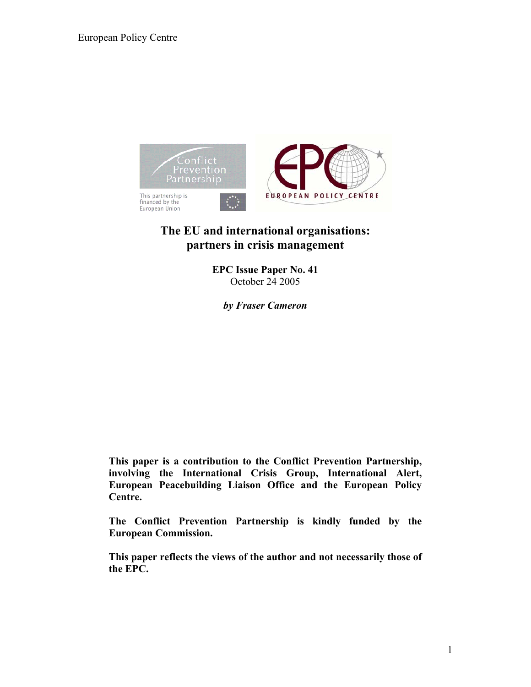

### **The EU and international organisations: partners in crisis management**

**EPC Issue Paper No. 41**  October 24 2005

*by Fraser Cameron* 

**This paper is a contribution to the Conflict Prevention Partnership, involving the International Crisis Group, International Alert, European Peacebuilding Liaison Office and the European Policy Centre.** 

**The Conflict Prevention Partnership is kindly funded by the European Commission.** 

**This paper reflects the views of the author and not necessarily those of the EPC.**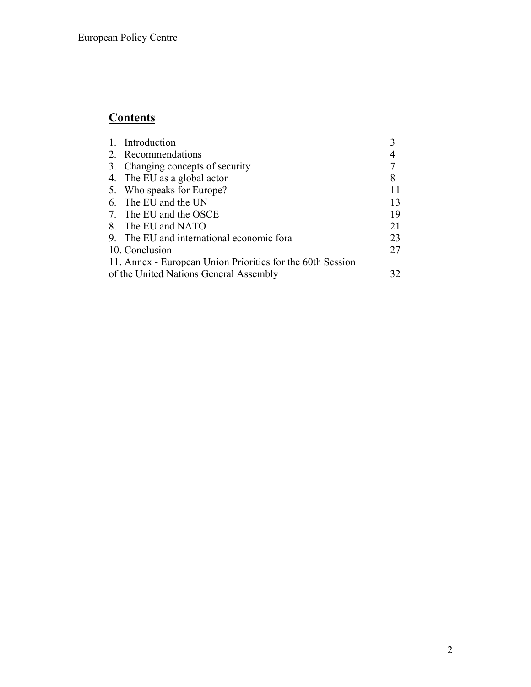# **Contents**

| 1.                                                         | Introduction                              |    |
|------------------------------------------------------------|-------------------------------------------|----|
|                                                            | 2. Recommendations                        |    |
|                                                            | 3. Changing concepts of security          |    |
|                                                            | 4. The EU as a global actor               | 8  |
|                                                            | 5. Who speaks for Europe?                 | 11 |
|                                                            | 6. The EU and the UN                      | 13 |
|                                                            | 7. The EU and the OSCE                    | 19 |
|                                                            | 8. The EU and NATO                        | 21 |
|                                                            | 9. The EU and international economic fora | 23 |
|                                                            | 10. Conclusion                            | 27 |
| 11. Annex - European Union Priorities for the 60th Session |                                           |    |
| of the United Nations General Assembly                     |                                           | 32 |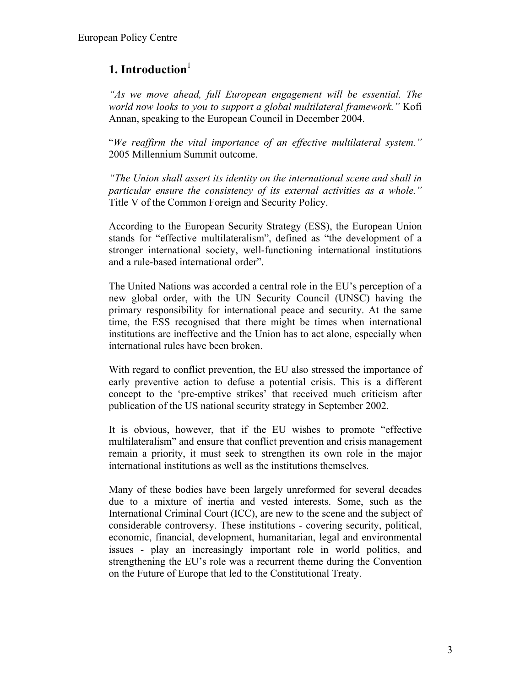## **[1](#page-30-0).** Introduction<sup>1</sup>

*"As we move ahead, full European engagement will be essential. The world now looks to you to support a global multilateral framework."* Kofi Annan, speaking to the European Council in December 2004.

"*We reaffirm the vital importance of an effective multilateral system."*  2005 Millennium Summit outcome.

*"The Union shall assert its identity on the international scene and shall in particular ensure the consistency of its external activities as a whole."*  Title V of the Common Foreign and Security Policy.

According to the European Security Strategy (ESS), the European Union stands for "effective multilateralism", defined as "the development of a stronger international society, well-functioning international institutions and a rule-based international order".

The United Nations was accorded a central role in the EU's perception of a new global order, with the UN Security Council (UNSC) having the primary responsibility for international peace and security. At the same time, the ESS recognised that there might be times when international institutions are ineffective and the Union has to act alone, especially when international rules have been broken.

With regard to conflict prevention, the EU also stressed the importance of early preventive action to defuse a potential crisis. This is a different concept to the 'pre-emptive strikes' that received much criticism after publication of the US national security strategy in September 2002.

It is obvious, however, that if the EU wishes to promote "effective multilateralism" and ensure that conflict prevention and crisis management remain a priority, it must seek to strengthen its own role in the major international institutions as well as the institutions themselves.

Many of these bodies have been largely unreformed for several decades due to a mixture of inertia and vested interests. Some, such as the International Criminal Court (ICC), are new to the scene and the subject of considerable controversy. These institutions - covering security, political, economic, financial, development, humanitarian, legal and environmental issues - play an increasingly important role in world politics, and strengthening the EU's role was a recurrent theme during the Convention on the Future of Europe that led to the Constitutional Treaty.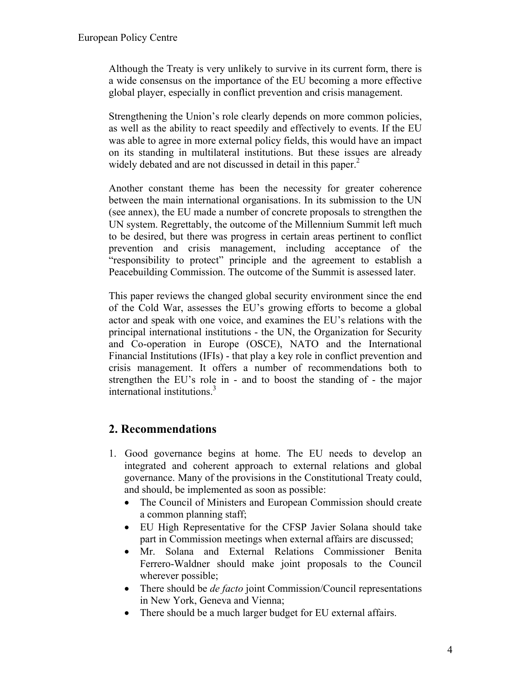Although the Treaty is very unlikely to survive in its current form, there is a wide consensus on the importance of the EU becoming a more effective global player, especially in conflict prevention and crisis management.

Strengthening the Union's role clearly depends on more common policies, as well as the ability to react speedily and effectively to events. If the EU was able to agree in more external policy fields, this would have an impact on its standing in multilateral institutions. But these issues are already widely debated and are not discussed in detail in this paper. $<sup>2</sup>$ </sup>

Another constant theme has been the necessity for greater coherence between the main international organisations. In its submission to the UN (see annex), the EU made a number of concrete proposals to strengthen the UN system. Regrettably, the outcome of the Millennium Summit left much to be desired, but there was progress in certain areas pertinent to conflict prevention and crisis management, including acceptance of the "responsibility to protect" principle and the agreement to establish a Peacebuilding Commission. The outcome of the Summit is assessed later.

This paper reviews the changed global security environment since the end of the Cold War, assesses the EU's growing efforts to become a global actor and speak with one voice, and examines the EU's relations with the principal international institutions - the UN, the Organization for Security and Co-operation in Europe (OSCE), NATO and the International Financial Institutions (IFIs) - that play a key role in conflict prevention and crisis management. It offers a number of recommendations both to strengthen the EU's role in - and to boost the standing of - the major international institutions.<sup>3</sup>

### **2. Recommendations**

- 1. Good governance begins at home. The EU needs to develop an integrated and coherent approach to external relations and global governance. Many of the provisions in the Constitutional Treaty could, and should, be implemented as soon as possible:
	- The Council of Ministers and European Commission should create a common planning staff;
	- EU High Representative for the CFSP Javier Solana should take part in Commission meetings when external affairs are discussed;
	- Mr. Solana and External Relations Commissioner Benita Ferrero-Waldner should make joint proposals to the Council wherever possible;
	- There should be *de facto* joint Commission/Council representations in New York, Geneva and Vienna;
	- There should be a much larger budget for EU external affairs.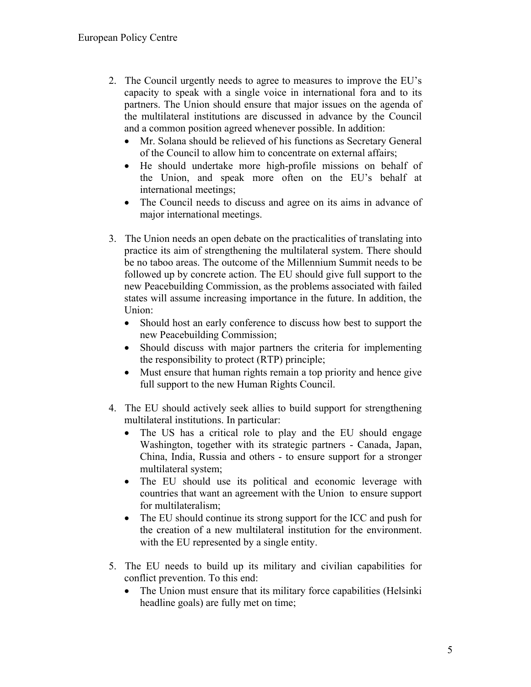- 2. The Council urgently needs to agree to measures to improve the EU's capacity to speak with a single voice in international fora and to its partners. The Union should ensure that major issues on the agenda of the multilateral institutions are discussed in advance by the Council and a common position agreed whenever possible. In addition:
	- Mr. Solana should be relieved of his functions as Secretary General of the Council to allow him to concentrate on external affairs;
	- He should undertake more high-profile missions on behalf of the Union, and speak more often on the EU's behalf at international meetings;
	- The Council needs to discuss and agree on its aims in advance of major international meetings.
- 3. The Union needs an open debate on the practicalities of translating into practice its aim of strengthening the multilateral system. There should be no taboo areas. The outcome of the Millennium Summit needs to be followed up by concrete action. The EU should give full support to the new Peacebuilding Commission, as the problems associated with failed states will assume increasing importance in the future. In addition, the Union:
	- Should host an early conference to discuss how best to support the new Peacebuilding Commission;
	- Should discuss with major partners the criteria for implementing the responsibility to protect (RTP) principle;
	- Must ensure that human rights remain a top priority and hence give full support to the new Human Rights Council.
- 4. The EU should actively seek allies to build support for strengthening multilateral institutions. In particular:
	- The US has a critical role to play and the EU should engage Washington, together with its strategic partners - Canada, Japan, China, India, Russia and others - to ensure support for a stronger multilateral system;
	- The EU should use its political and economic leverage with countries that want an agreement with the Union to ensure support for multilateralism;
	- The EU should continue its strong support for the ICC and push for the creation of a new multilateral institution for the environment. with the EU represented by a single entity.
- 5. The EU needs to build up its military and civilian capabilities for conflict prevention. To this end:
	- The Union must ensure that its military force capabilities (Helsinki headline goals) are fully met on time;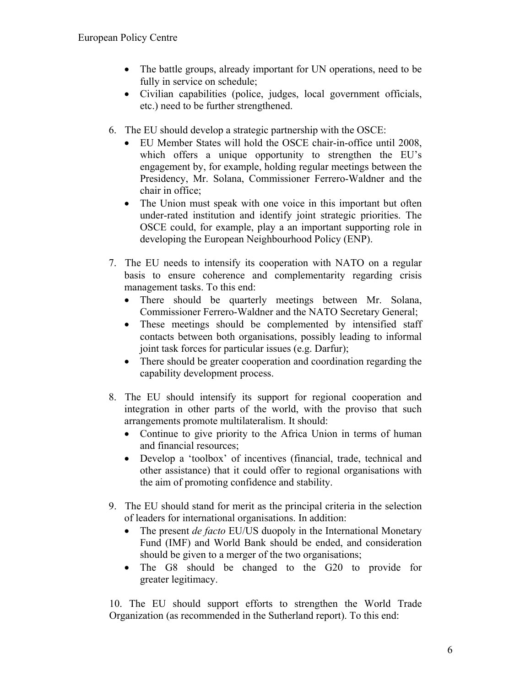- The battle groups, already important for UN operations, need to be fully in service on schedule;
- Civilian capabilities (police, judges, local government officials, etc.) need to be further strengthened.
- 6. The EU should develop a strategic partnership with the OSCE:
	- EU Member States will hold the OSCE chair-in-office until 2008, which offers a unique opportunity to strengthen the EU's engagement by, for example, holding regular meetings between the Presidency, Mr. Solana, Commissioner Ferrero-Waldner and the chair in office;
	- The Union must speak with one voice in this important but often under-rated institution and identify joint strategic priorities. The OSCE could, for example, play a an important supporting role in developing the European Neighbourhood Policy (ENP).
- 7. The EU needs to intensify its cooperation with NATO on a regular basis to ensure coherence and complementarity regarding crisis management tasks. To this end:
	- There should be quarterly meetings between Mr. Solana, Commissioner Ferrero-Waldner and the NATO Secretary General;
	- These meetings should be complemented by intensified staff contacts between both organisations, possibly leading to informal joint task forces for particular issues (e.g. Darfur);
	- There should be greater cooperation and coordination regarding the capability development process.
- 8. The EU should intensify its support for regional cooperation and integration in other parts of the world, with the proviso that such arrangements promote multilateralism. It should:
	- Continue to give priority to the Africa Union in terms of human and financial resources;
	- Develop a 'toolbox' of incentives (financial, trade, technical and other assistance) that it could offer to regional organisations with the aim of promoting confidence and stability.
- 9. The EU should stand for merit as the principal criteria in the selection of leaders for international organisations. In addition:
	- The present *de facto* EU/US duopoly in the International Monetary Fund (IMF) and World Bank should be ended, and consideration should be given to a merger of the two organisations;
	- The G8 should be changed to the G20 to provide for greater legitimacy.

10. The EU should support efforts to strengthen the World Trade Organization (as recommended in the Sutherland report). To this end: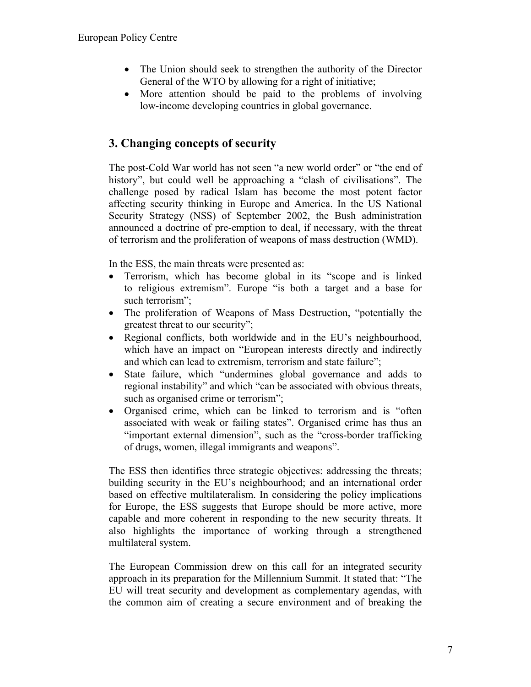- The Union should seek to strengthen the authority of the Director General of the WTO by allowing for a right of initiative;
- More attention should be paid to the problems of involving low-income developing countries in global governance.

## **3. Changing concepts of security**

The post-Cold War world has not seen "a new world order" or "the end of history", but could well be approaching a "clash of civilisations". The challenge posed by radical Islam has become the most potent factor affecting security thinking in Europe and America. In the US National Security Strategy (NSS) of September 2002, the Bush administration announced a doctrine of pre-emption to deal, if necessary, with the threat of terrorism and the proliferation of weapons of mass destruction (WMD).

In the ESS, the main threats were presented as:

- Terrorism, which has become global in its "scope and is linked to religious extremism". Europe "is both a target and a base for such terrorism";
- The proliferation of Weapons of Mass Destruction, "potentially the greatest threat to our security";
- Regional conflicts, both worldwide and in the EU's neighbourhood, which have an impact on "European interests directly and indirectly and which can lead to extremism, terrorism and state failure";
- State failure, which "undermines global governance and adds to regional instability" and which "can be associated with obvious threats, such as organised crime or terrorism";
- Organised crime, which can be linked to terrorism and is "often associated with weak or failing states". Organised crime has thus an "important external dimension", such as the "cross-border trafficking of drugs, women, illegal immigrants and weapons".

The ESS then identifies three strategic objectives: addressing the threats; building security in the EU's neighbourhood; and an international order based on effective multilateralism. In considering the policy implications for Europe, the ESS suggests that Europe should be more active, more capable and more coherent in responding to the new security threats. It also highlights the importance of working through a strengthened multilateral system.

The European Commission drew on this call for an integrated security approach in its preparation for the Millennium Summit. It stated that: "The EU will treat security and development as complementary agendas, with the common aim of creating a secure environment and of breaking the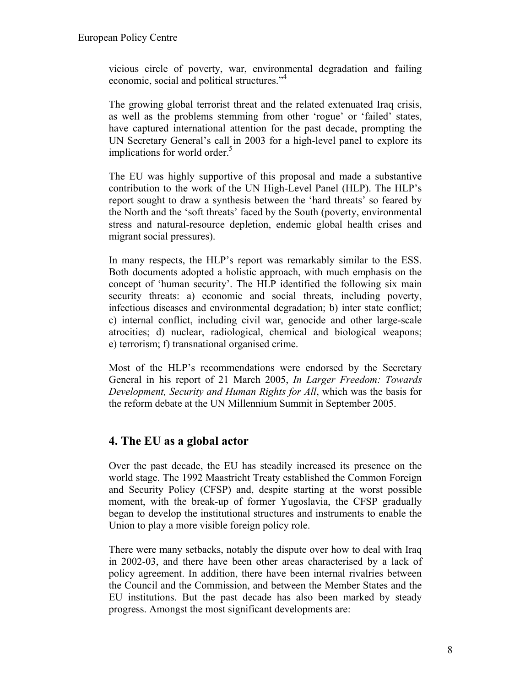vicious circle of poverty, war, environmental degradation and failing economic, social and political structures."[4](#page-30-3)

The growing global terrorist threat and the related extenuated Iraq crisis, as well as the problems stemming from other 'rogue' or 'failed' states, have captured international attention for the past decade, prompting the UN Secretary General's call in 2003 for a high-level panel to explore its implications for world order.<sup>5</sup>

The EU was highly supportive of this proposal and made a substantive contribution to the work of the UN High-Level Panel (HLP). The HLP's report sought to draw a synthesis between the 'hard threats' so feared by the North and the 'soft threats' faced by the South (poverty, environmental stress and natural-resource depletion, endemic global health crises and migrant social pressures).

In many respects, the HLP's report was remarkably similar to the ESS. Both documents adopted a holistic approach, with much emphasis on the concept of 'human security'. The HLP identified the following six main security threats: a) economic and social threats, including poverty, infectious diseases and environmental degradation; b) inter state conflict; c) internal conflict, including civil war, genocide and other large-scale atrocities; d) nuclear, radiological, chemical and biological weapons; e) terrorism; f) transnational organised crime.

Most of the HLP's recommendations were endorsed by the Secretary General in his report of 21 March 2005, *In Larger Freedom: Towards Development, Security and Human Rights for All*, which was the basis for the reform debate at the UN Millennium Summit in September 2005.

### **4. The EU as a global actor**

Over the past decade, the EU has steadily increased its presence on the world stage. The 1992 Maastricht Treaty established the Common Foreign and Security Policy (CFSP) and, despite starting at the worst possible moment, with the break-up of former Yugoslavia, the CFSP gradually began to develop the institutional structures and instruments to enable the Union to play a more visible foreign policy role.

There were many setbacks, notably the dispute over how to deal with Iraq in 2002-03, and there have been other areas characterised by a lack of policy agreement. In addition, there have been internal rivalries between the Council and the Commission, and between the Member States and the EU institutions. But the past decade has also been marked by steady progress. Amongst the most significant developments are: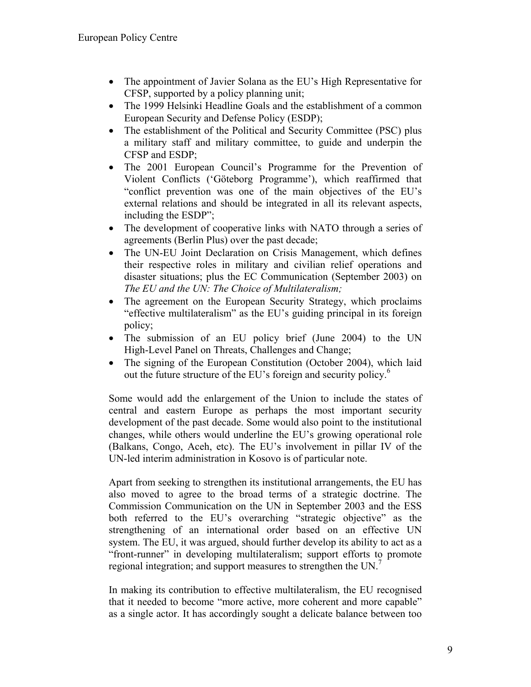- The appointment of Javier Solana as the EU's High Representative for CFSP, supported by a policy planning unit;
- The 1999 Helsinki Headline Goals and the establishment of a common European Security and Defense Policy (ESDP);
- The establishment of the Political and Security Committee (PSC) plus a military staff and military committee, to guide and underpin the CFSP and ESDP;
- The 2001 European Council's Programme for the Prevention of Violent Conflicts ('Göteborg Programme'), which reaffirmed that "conflict prevention was one of the main objectives of the EU's external relations and should be integrated in all its relevant aspects, including the ESDP";
- The development of cooperative links with NATO through a series of agreements (Berlin Plus) over the past decade;
- The UN-EU Joint Declaration on Crisis Management, which defines their respective roles in military and civilian relief operations and disaster situations; plus the EC Communication (September 2003) on *The EU and the UN: The Choice of Multilateralism;*
- The agreement on the European Security Strategy, which proclaims "effective multilateralism" as the EU's guiding principal in its foreign policy;
- The submission of an EU policy brief (June 2004) to the UN High-Level Panel on Threats, Challenges and Change;
- The signing of the European Constitution (October 2004), which laid out the future structure of the EU's foreign and security policy.<sup>6</sup>

Some would add the enlargement of the Union to include the states of central and eastern Europe as perhaps the most important security development of the past decade. Some would also point to the institutional changes, while others would underline the EU's growing operational role (Balkans, Congo, Aceh, etc). The EU's involvement in pillar IV of the UN-led interim administration in Kosovo is of particular note.

Apart from seeking to strengthen its institutional arrangements, the EU has also moved to agree to the broad terms of a strategic doctrine. The Commission Communication on the UN in September 2003 and the ESS both referred to the EU's overarching "strategic objective" as the strengthening of an international order based on an effective UN system. The EU, it was argued, should further develop its ability to act as a "front-runner" in developing multilateralism; support efforts to promote regionalintegration; and support measures to strengthen the UN.<sup>7</sup>

In making its contribution to effective multilateralism, the EU recognised that it needed to become "more active, more coherent and more capable" as a single actor. It has accordingly sought a delicate balance between too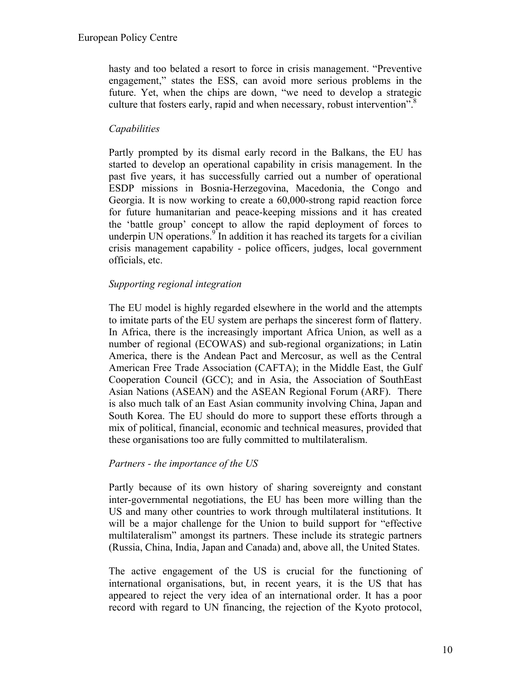hasty and too belated a resort to force in crisis management. "Preventive engagement," states the ESS, can avoid more serious problems in the future. Yet, when the chips are down, "we need to develop a strategic culture that fosters early, rapid and when necessary, robust intervention".<sup>[8](#page-30-7)</sup>

### *Capabilities*

Partly prompted by its dismal early record in the Balkans, the EU has started to develop an operational capability in crisis management. In the past five years, it has successfully carried out a number of operational ESDP missions in Bosnia-Herzegovina, Macedonia, the Congo and Georgia. It is now working to create a 60,000-strong rapid reaction force for future humanitarian and peace-keeping missions and it has created the 'battle group' concept to allow the rapid deployment of forces to underpinUN operations. $9^{\circ}$  In addition it has reached its targets for a civilian crisis management capability - police officers, judges, local government officials, etc.

### *Supporting regional integration*

The EU model is highly regarded elsewhere in the world and the attempts to imitate parts of the EU system are perhaps the sincerest form of flattery. In Africa, there is the increasingly important Africa Union, as well as a number of regional (ECOWAS) and sub-regional organizations; in Latin America, there is the Andean Pact and Mercosur, as well as the Central American Free Trade Association (CAFTA); in the Middle East, the Gulf Cooperation Council (GCC); and in Asia, the Association of SouthEast Asian Nations (ASEAN) and the ASEAN Regional Forum (ARF). There is also much talk of an East Asian community involving China, Japan and South Korea. The EU should do more to support these efforts through a mix of political, financial, economic and technical measures, provided that these organisations too are fully committed to multilateralism.

### *Partners - the importance of the US*

Partly because of its own history of sharing sovereignty and constant inter-governmental negotiations, the EU has been more willing than the US and many other countries to work through multilateral institutions. It will be a major challenge for the Union to build support for "effective multilateralism" amongst its partners. These include its strategic partners (Russia, China, India, Japan and Canada) and, above all, the United States.

The active engagement of the US is crucial for the functioning of international organisations, but, in recent years, it is the US that has appeared to reject the very idea of an international order. It has a poor record with regard to UN financing, the rejection of the Kyoto protocol,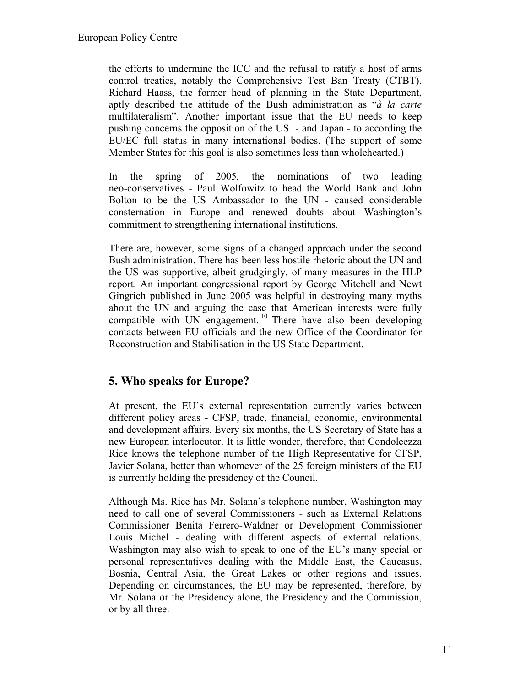the efforts to undermine the ICC and the refusal to ratify a host of arms control treaties, notably the Comprehensive Test Ban Treaty (CTBT). Richard Haass, the former head of planning in the State Department, aptly described the attitude of the Bush administration as "*à la carte* multilateralism". Another important issue that the EU needs to keep pushing concerns the opposition of the US - and Japan - to according the EU/EC full status in many international bodies. (The support of some Member States for this goal is also sometimes less than wholehearted.)

In the spring of 2005, the nominations of two leading neo-conservatives - Paul Wolfowitz to head the World Bank and John Bolton to be the US Ambassador to the UN - caused considerable consternation in Europe and renewed doubts about Washington's commitment to strengthening international institutions.

There are, however, some signs of a changed approach under the second Bush administration. There has been less hostile rhetoric about the UN and the US was supportive, albeit grudgingly, of many measures in the HLP report. An important congressional report by George Mitchell and Newt Gingrich published in June 2005 was helpful in destroying many myths about the UN and arguing the case that American interests were fully compatible with UN engagement.<sup>[10](#page-30-9)</sup> There have also been developing contacts between EU officials and the new Office of the Coordinator for Reconstruction and Stabilisation in the US State Department.

### **5. Who speaks for Europe?**

At present, the EU's external representation currently varies between different policy areas - CFSP, trade, financial, economic, environmental and development affairs. Every six months, the US Secretary of State has a new European interlocutor. It is little wonder, therefore, that Condoleezza Rice knows the telephone number of the High Representative for CFSP, Javier Solana, better than whomever of the 25 foreign ministers of the EU is currently holding the presidency of the Council.

Although Ms. Rice has Mr. Solana's telephone number, Washington may need to call one of several Commissioners - such as External Relations Commissioner Benita Ferrero-Waldner or Development Commissioner Louis Michel - dealing with different aspects of external relations. Washington may also wish to speak to one of the EU's many special or personal representatives dealing with the Middle East, the Caucasus, Bosnia, Central Asia, the Great Lakes or other regions and issues. Depending on circumstances, the EU may be represented, therefore, by Mr. Solana or the Presidency alone, the Presidency and the Commission, or by all three.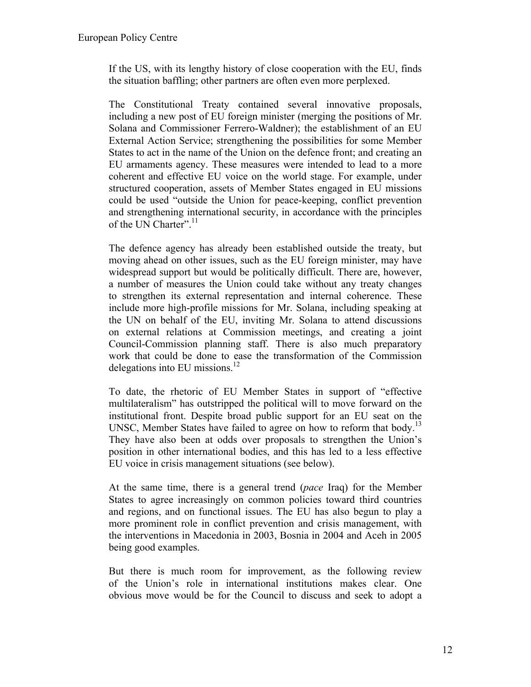If the US, with its lengthy history of close cooperation with the EU, finds the situation baffling; other partners are often even more perplexed.

The Constitutional Treaty contained several innovative proposals, including a new post of EU foreign minister (merging the positions of Mr. Solana and Commissioner Ferrero-Waldner); the establishment of an EU External Action Service; strengthening the possibilities for some Member States to act in the name of the Union on the defence front; and creating an EU armaments agency. These measures were intended to lead to a more coherent and effective EU voice on the world stage. For example, under structured cooperation, assets of Member States engaged in EU missions could be used "outside the Union for peace-keeping, conflict prevention and strengthening international security, in accordance with the principles of the UN Charter".<sup>11</sup>

The defence agency has already been established outside the treaty, but moving ahead on other issues, such as the EU foreign minister, may have widespread support but would be politically difficult. There are, however, a number of measures the Union could take without any treaty changes to strengthen its external representation and internal coherence. These include more high-profile missions for Mr. Solana, including speaking at the UN on behalf of the EU, inviting Mr. Solana to attend discussions on external relations at Commission meetings, and creating a joint Council-Commission planning staff. There is also much preparatory work that could be done to ease the transformation of the Commission delegations into EU missions.<sup>[12](#page-30-11)</sup>

To date, the rhetoric of EU Member States in support of "effective multilateralism" has outstripped the political will to move forward on the institutional front. Despite broad public support for an EU seat on the UNSC, Member States have failed to agree on how to reform that body.<sup>[13](#page-30-12)</sup> They have also been at odds over proposals to strengthen the Union's position in other international bodies, and this has led to a less effective EU voice in crisis management situations (see below).

At the same time, there is a general trend (*pace* Iraq) for the Member States to agree increasingly on common policies toward third countries and regions, and on functional issues. The EU has also begun to play a more prominent role in conflict prevention and crisis management, with the interventions in Macedonia in 2003, Bosnia in 2004 and Aceh in 2005 being good examples.

But there is much room for improvement, as the following review of the Union's role in international institutions makes clear. One obvious move would be for the Council to discuss and seek to adopt a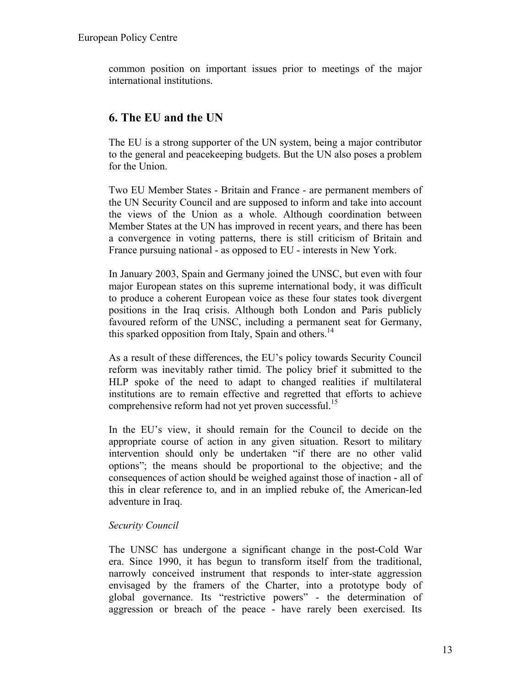common position on important issues prior to meetings of the major international institutions.

### **6. The EU and the UN**

The EU is a strong supporter of the UN system, being a major contributor to the general and peacekeeping budgets. But the UN also poses a problem for the Union.

Two EU Member States - Britain and France - are permanent members of the UN Security Council and are supposed to inform and take into account the views of the Union as a whole. Although coordination between Member States at the UN has improved in recent years, and there has been a convergence in voting patterns, there is still criticism of Britain and France pursuing national - as opposed to EU - interests in New York.

In January 2003, Spain and Germany joined the UNSC, but even with four major European states on this supreme international body, it was difficult to produce a coherent European voice as these four states took divergent positions in the Iraq crisis. Although both London and Paris publicly favoured reform of the UNSC, including a permanent seat for Germany, this sparked opposition from Italy, Spain and others.<sup>14</sup>

As a result of these differences, the EU's policy towards Security Council reform was inevitably rather timid. The policy brief it submitted to the HLP spoke of the need to adapt to changed realities if multilateral institutions are to remain effective and regretted that efforts to achieve comprehensive reform had not yet proven successful.<sup>15</sup>

In the EU's view, it should remain for the Council to decide on the appropriate course of action in any given situation. Resort to military intervention should only be undertaken "if there are no other valid options"; the means should be proportional to the objective; and the consequences of action should be weighed against those of inaction - all of this in clear reference to, and in an implied rebuke of, the American-led adventure in Iraq.

### *Security Council*

The UNSC has undergone a significant change in the post-Cold War era. Since 1990, it has begun to transform itself from the traditional, narrowly conceived instrument that responds to inter-state aggression envisaged by the framers of the Charter, into a prototype body of global governance. Its "restrictive powers" - the determination of aggression or breach of the peace - have rarely been exercised. Its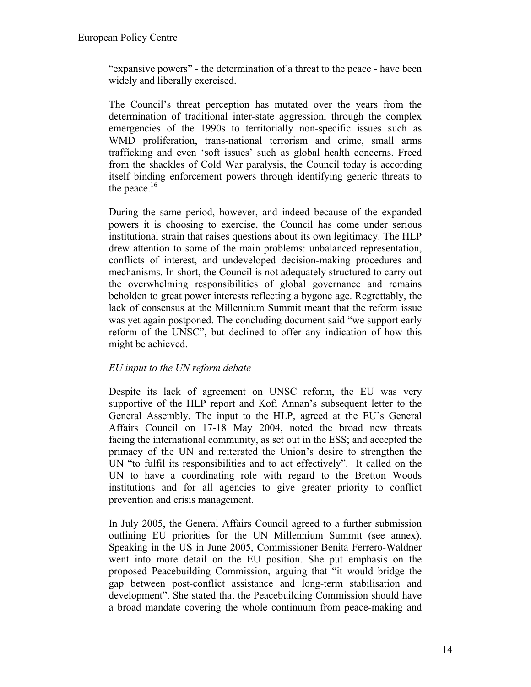"expansive powers" - the determination of a threat to the peace - have been widely and liberally exercised.

The Council's threat perception has mutated over the years from the determination of traditional inter-state aggression, through the complex emergencies of the 1990s to territorially non-specific issues such as WMD proliferation, trans-national terrorism and crime, small arms trafficking and even 'soft issues' such as global health concerns. Freed from the shackles of Cold War paralysis, the Council today is according itself binding enforcement powers through identifying generic threats to the peace. $16$ 

During the same period, however, and indeed because of the expanded powers it is choosing to exercise, the Council has come under serious institutional strain that raises questions about its own legitimacy. The HLP drew attention to some of the main problems: unbalanced representation, conflicts of interest, and undeveloped decision-making procedures and mechanisms. In short, the Council is not adequately structured to carry out the overwhelming responsibilities of global governance and remains beholden to great power interests reflecting a bygone age. Regrettably, the lack of consensus at the Millennium Summit meant that the reform issue was yet again postponed. The concluding document said "we support early reform of the UNSC", but declined to offer any indication of how this might be achieved.

### *EU input to the UN reform debate*

Despite its lack of agreement on UNSC reform, the EU was very supportive of the HLP report and Kofi Annan's subsequent letter to the General Assembly. The input to the HLP, agreed at the EU's General Affairs Council on 17-18 May 2004, noted the broad new threats facing the international community, as set out in the ESS; and accepted the primacy of the UN and reiterated the Union's desire to strengthen the UN "to fulfil its responsibilities and to act effectively". It called on the UN to have a coordinating role with regard to the Bretton Woods institutions and for all agencies to give greater priority to conflict prevention and crisis management.

In July 2005, the General Affairs Council agreed to a further submission outlining EU priorities for the UN Millennium Summit (see annex). Speaking in the US in June 2005, Commissioner Benita Ferrero-Waldner went into more detail on the EU position. She put emphasis on the proposed Peacebuilding Commission, arguing that "it would bridge the gap between post-conflict assistance and long-term stabilisation and development". She stated that the Peacebuilding Commission should have a broad mandate covering the whole continuum from peace-making and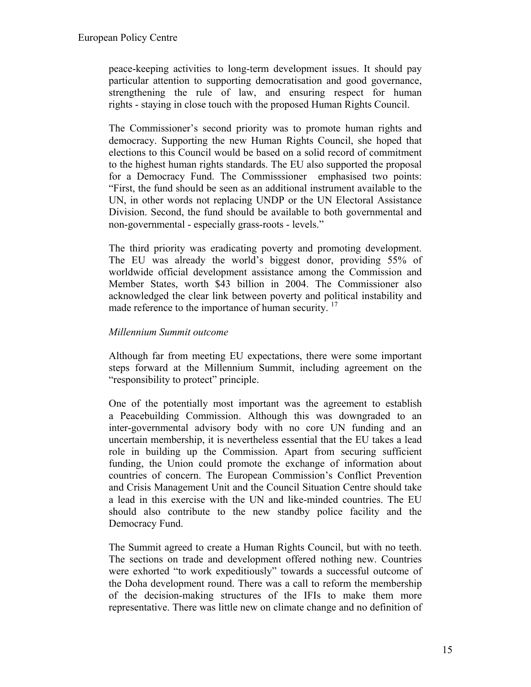peace-keeping activities to long-term development issues. It should pay particular attention to supporting democratisation and good governance, strengthening the rule of law, and ensuring respect for human rights - staying in close touch with the proposed Human Rights Council.

The Commissioner's second priority was to promote human rights and democracy. Supporting the new Human Rights Council, she hoped that elections to this Council would be based on a solid record of commitment to the highest human rights standards. The EU also supported the proposal for a Democracy Fund. The Commisssioner emphasised two points: "First, the fund should be seen as an additional instrument available to the UN, in other words not replacing UNDP or the UN Electoral Assistance Division. Second, the fund should be available to both governmental and non-governmental - especially grass-roots - levels."

The third priority was eradicating poverty and promoting development. The EU was already the world's biggest donor, providing 55% of worldwide official development assistance among the Commission and Member States, worth \$43 billion in 2004. The Commissioner also acknowledged the clear link between poverty and political instability and made reference to the importance of human security.<sup>[17](#page-30-9)</sup>

### *Millennium Summit outcome*

Although far from meeting EU expectations, there were some important steps forward at the Millennium Summit, including agreement on the "responsibility to protect" principle.

One of the potentially most important was the agreement to establish a Peacebuilding Commission. Although this was downgraded to an inter-governmental advisory body with no core UN funding and an uncertain membership, it is nevertheless essential that the EU takes a lead role in building up the Commission. Apart from securing sufficient funding, the Union could promote the exchange of information about countries of concern. The European Commission's Conflict Prevention and Crisis Management Unit and the Council Situation Centre should take a lead in this exercise with the UN and like-minded countries. The EU should also contribute to the new standby police facility and the Democracy Fund.

The Summit agreed to create a Human Rights Council, but with no teeth. The sections on trade and development offered nothing new. Countries were exhorted "to work expeditiously" towards a successful outcome of the Doha development round. There was a call to reform the membership of the decision-making structures of the IFIs to make them more representative. There was little new on climate change and no definition of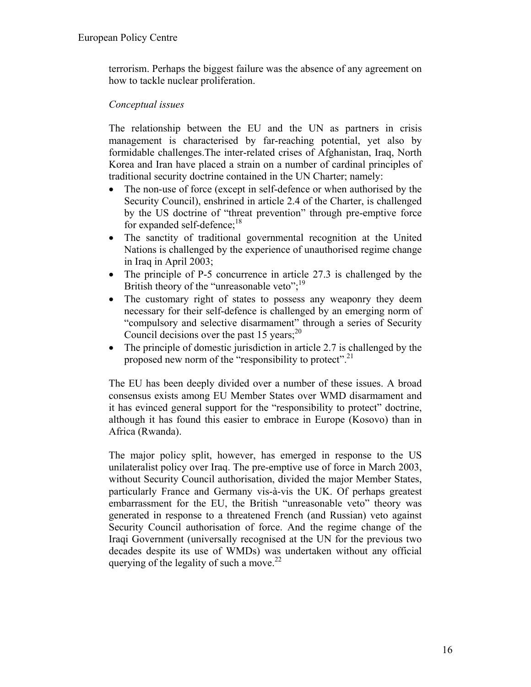terrorism. Perhaps the biggest failure was the absence of any agreement on how to tackle nuclear proliferation.

#### *Conceptual issues*

The relationship between the EU and the UN as partners in crisis management is characterised by far-reaching potential, yet also by formidable challenges.The inter-related crises of Afghanistan, Iraq, North Korea and Iran have placed a strain on a number of cardinal principles of traditional security doctrine contained in the UN Charter; namely:

- The non-use of force (except in self-defence or when authorised by the Security Council), enshrined in article 2.4 of the Charter, is challenged by the US doctrine of "threat prevention" through pre-emptive force for expanded self-defence;<sup>[18](#page-30-8)</sup>
- The sanctity of traditional governmental recognition at the United Nations is challenged by the experience of unauthorised regime change in Iraq in April 2003;
- The principle of P-5 concurrence in article 27.3 is challenged by the British theory of the "unreasonable veto"; $^{19}$
- The customary right of states to possess any weaponry they deem necessary for their self-defence is challenged by an emerging norm of "compulsory and selective disarmament" through a series of Security Council decisions over the past 15 years; $^{20}$  $^{20}$  $^{20}$
- The principle of domestic jurisdiction in article 2.7 is challenged by the proposed new norm of the "responsibility to protect".<sup>[21](#page-30-18)</sup>

The EU has been deeply divided over a number of these issues. A broad consensus exists among EU Member States over WMD disarmament and it has evinced general support for the "responsibility to protect" doctrine, although it has found this easier to embrace in Europe (Kosovo) than in Africa (Rwanda).

The major policy split, however, has emerged in response to the US unilateralist policy over Iraq. The pre-emptive use of force in March 2003, without Security Council authorisation, divided the major Member States, particularly France and Germany vis-à-vis the UK. Of perhaps greatest embarrassment for the EU, the British "unreasonable veto" theory was generated in response to a threatened French (and Russian) veto against Security Council authorisation of force. And the regime change of the Iraqi Government (universally recognised at the UN for the previous two decades despite its use of WMDs) was undertaken without any official querying of the legality of such a move.<sup>22</sup>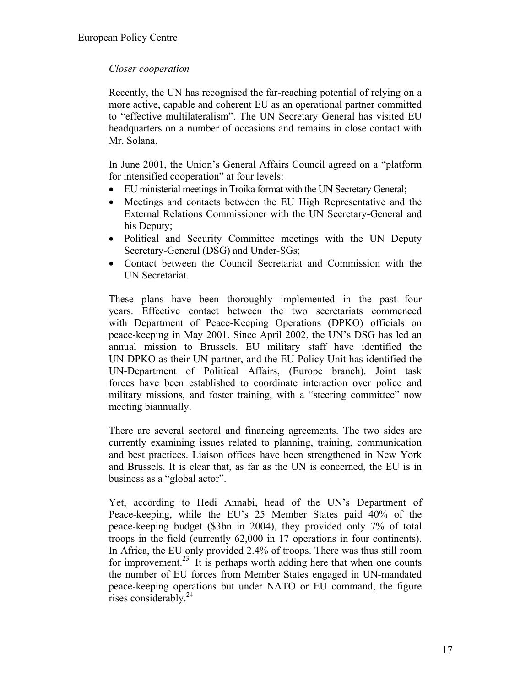### *Closer cooperation*

Recently, the UN has recognised the far-reaching potential of relying on a more active, capable and coherent EU as an operational partner committed to "effective multilateralism". The UN Secretary General has visited EU headquarters on a number of occasions and remains in close contact with Mr. Solana.

In June 2001, the Union's General Affairs Council agreed on a "platform for intensified cooperation" at four levels:

- EU ministerial meetings in Troika format with the UN Secretary General;
- Meetings and contacts between the EU High Representative and the External Relations Commissioner with the UN Secretary-General and his Deputy;
- Political and Security Committee meetings with the UN Deputy Secretary-General (DSG) and Under-SGs;
- Contact between the Council Secretariat and Commission with the UN Secretariat.

These plans have been thoroughly implemented in the past four years. Effective contact between the two secretariats commenced with Department of Peace-Keeping Operations (DPKO) officials on peace-keeping in May 2001. Since April 2002, the UN's DSG has led an annual mission to Brussels. EU military staff have identified the UN-DPKO as their UN partner, and the EU Policy Unit has identified the UN-Department of Political Affairs, (Europe branch). Joint task forces have been established to coordinate interaction over police and military missions, and foster training, with a "steering committee" now meeting biannually.

There are several sectoral and financing agreements. The two sides are currently examining issues related to planning, training, communication and best practices. Liaison offices have been strengthened in New York and Brussels. It is clear that, as far as the UN is concerned, the EU is in business as a "global actor".

Yet, according to Hedi Annabi, head of the UN's Department of Peace-keeping, while the EU's 25 Member States paid 40% of the peace-keeping budget (\$3bn in 2004), they provided only 7% of total troops in the field (currently 62,000 in 17 operations in four continents). In Africa, the EU only provided 2.4% of troops. There was thus still room for improvement.<sup>[23](#page-30-20)</sup> It is perhaps worth adding here that when one counts the number of EU forces from Member States engaged in UN-mandated peace-keeping operations but under NATO or EU command, the figure rises considerably. $^{24}$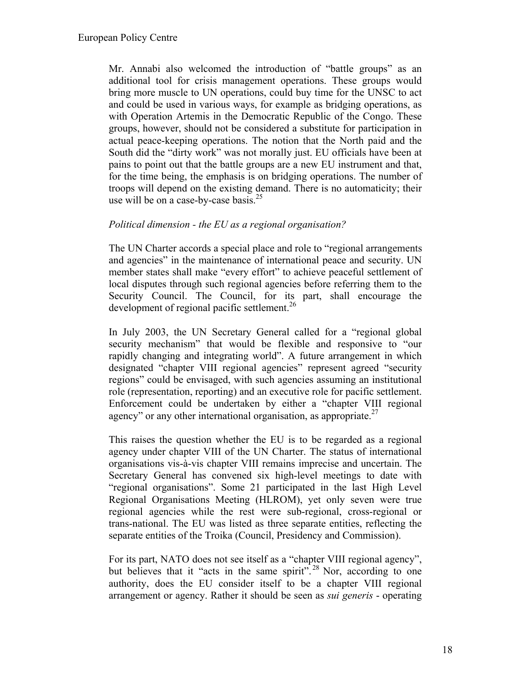Mr. Annabi also welcomed the introduction of "battle groups" as an additional tool for crisis management operations. These groups would bring more muscle to UN operations, could buy time for the UNSC to act and could be used in various ways, for example as bridging operations, as with Operation Artemis in the Democratic Republic of the Congo. These groups, however, should not be considered a substitute for participation in actual peace-keeping operations. The notion that the North paid and the South did the "dirty work" was not morally just. EU officials have been at pains to point out that the battle groups are a new EU instrument and that, for the time being, the emphasis is on bridging operations. The number of troops will depend on the existing demand. There is no automaticity; their use will be on a case-by-case basis. $25$ 

### *Political dimension - the EU as a regional organisation?*

The UN Charter accords a special place and role to "regional arrangements and agencies" in the maintenance of international peace and security. UN member states shall make "every effort" to achieve peaceful settlement of local disputes through such regional agencies before referring them to the Security Council. The Council, for its part, shall encourage the development of regional pacific settlement.<sup>26</sup>

In July 2003, the UN Secretary General called for a "regional global security mechanism" that would be flexible and responsive to "our rapidly changing and integrating world". A future arrangement in which designated "chapter VIII regional agencies" represent agreed "security regions" could be envisaged, with such agencies assuming an institutional role (representation, reporting) and an executive role for pacific settlement. Enforcement could be undertaken by either a "chapter VIII regional agency" or any other international organisation, as appropriate. $27$ 

This raises the question whether the EU is to be regarded as a regional agency under chapter VIII of the UN Charter. The status of international organisations vis-à-vis chapter VIII remains imprecise and uncertain. The Secretary General has convened six high-level meetings to date with "regional organisations". Some 21 participated in the last High Level Regional Organisations Meeting (HLROM), yet only seven were true regional agencies while the rest were sub-regional, cross-regional or trans-national. The EU was listed as three separate entities, reflecting the separate entities of the Troika (Council, Presidency and Commission).

For its part, NATO does not see itself as a "chapter VIII regional agency", but believes that it "acts in the same spirit".<sup>[28](#page-30-25)</sup> Nor, according to one authority, does the EU consider itself to be a chapter VIII regional arrangement or agency. Rather it should be seen as *sui generis* - operating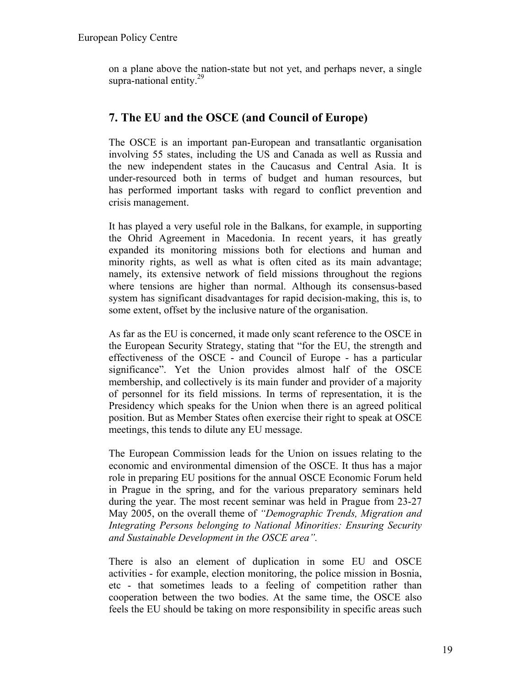on a plane above the nation-state but not yet, and perhaps never, a single supra-national entity. $29$ 

### **7. The EU and the OSCE (and Council of Europe)**

The OSCE is an important pan-European and transatlantic organisation involving 55 states, including the US and Canada as well as Russia and the new independent states in the Caucasus and Central Asia. It is under-resourced both in terms of budget and human resources, but has performed important tasks with regard to conflict prevention and crisis management.

It has played a very useful role in the Balkans, for example, in supporting the Ohrid Agreement in Macedonia. In recent years, it has greatly expanded its monitoring missions both for elections and human and minority rights, as well as what is often cited as its main advantage; namely, its extensive network of field missions throughout the regions where tensions are higher than normal. Although its consensus-based system has significant disadvantages for rapid decision-making, this is, to some extent, offset by the inclusive nature of the organisation.

As far as the EU is concerned, it made only scant reference to the OSCE in the European Security Strategy, stating that "for the EU, the strength and effectiveness of the OSCE - and Council of Europe - has a particular significance". Yet the Union provides almost half of the OSCE membership, and collectively is its main funder and provider of a majority of personnel for its field missions. In terms of representation, it is the Presidency which speaks for the Union when there is an agreed political position. But as Member States often exercise their right to speak at OSCE meetings, this tends to dilute any EU message.

The European Commission leads for the Union on issues relating to the economic and environmental dimension of the OSCE. It thus has a major role in preparing EU positions for the annual OSCE Economic Forum held in Prague in the spring, and for the various preparatory seminars held during the year. The most recent seminar was held in Prague from 23-27 May 2005, on the overall theme of *"Demographic Trends, Migration and Integrating Persons belonging to National Minorities: Ensuring Security and Sustainable Development in the OSCE area".* 

There is also an element of duplication in some EU and OSCE activities - for example, election monitoring, the police mission in Bosnia, etc - that sometimes leads to a feeling of competition rather than cooperation between the two bodies. At the same time, the OSCE also feels the EU should be taking on more responsibility in specific areas such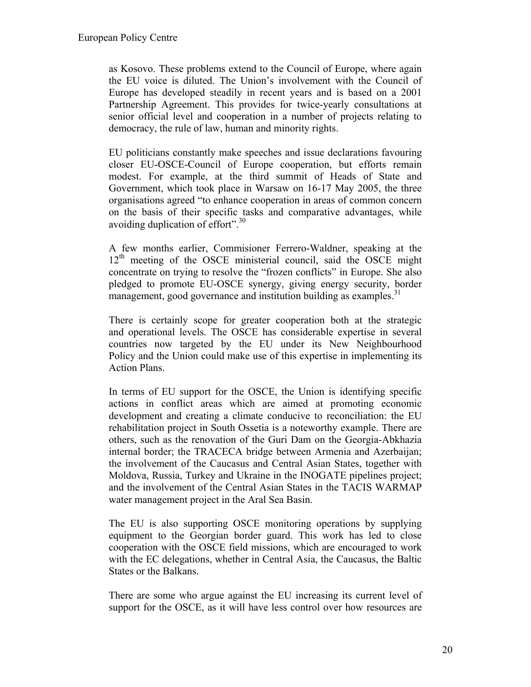as Kosovo. These problems extend to the Council of Europe, where again the EU voice is diluted. The Union's involvement with the Council of Europe has developed steadily in recent years and is based on a 2001 Partnership Agreement. This provides for twice-yearly consultations at senior official level and cooperation in a number of projects relating to democracy, the rule of law, human and minority rights.

EU politicians constantly make speeches and issue declarations favouring closer EU-OSCE-Council of Europe cooperation, but efforts remain modest. For example, at the third summit of Heads of State and Government, which took place in Warsaw on 16-17 May 2005, the three organisations agreed "to enhance cooperation in areas of common concern on the basis of their specific tasks and comparative advantages, while avoiding duplication of effort".<sup>30</sup>

A few months earlier, Commisioner Ferrero-Waldner, speaking at the  $12<sup>th</sup>$  meeting of the OSCE ministerial council, said the OSCE might concentrate on trying to resolve the "frozen conflicts" in Europe. She also pledged to promote EU-OSCE synergy, giving energy security, border management, good governance and institution building as examples.<sup>31</sup>

There is certainly scope for greater cooperation both at the strategic and operational levels. The OSCE has considerable expertise in several countries now targeted by the EU under its New Neighbourhood Policy and the Union could make use of this expertise in implementing its Action Plans.

In terms of EU support for the OSCE, the Union is identifying specific actions in conflict areas which are aimed at promoting economic development and creating a climate conducive to reconciliation: the EU rehabilitation project in South Ossetia is a noteworthy example. There are others, such as the renovation of the Guri Dam on the Georgia-Abkhazia internal border; the TRACECA bridge between Armenia and Azerbaijan; the involvement of the Caucasus and Central Asian States, together with Moldova, Russia, Turkey and Ukraine in the INOGATE pipelines project; and the involvement of the Central Asian States in the TACIS WARMAP water management project in the Aral Sea Basin.

The EU is also supporting OSCE monitoring operations by supplying equipment to the Georgian border guard. This work has led to close cooperation with the OSCE field missions, which are encouraged to work with the EC delegations, whether in Central Asia, the Caucasus, the Baltic States or the Balkans.

There are some who argue against the EU increasing its current level of support for the OSCE, as it will have less control over how resources are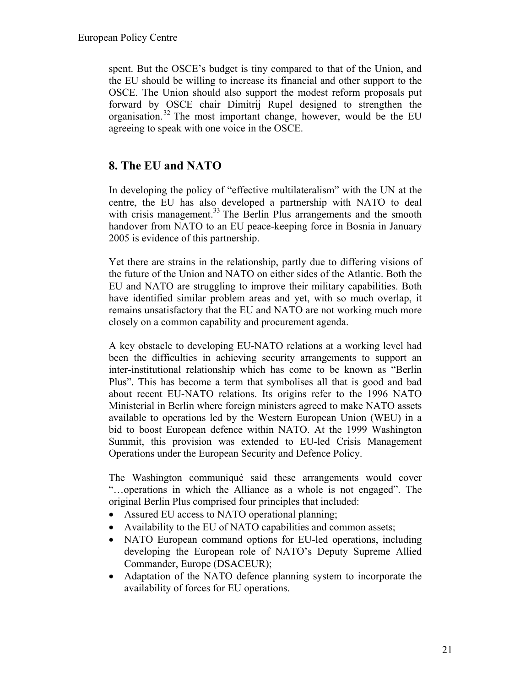spent. But the OSCE's budget is tiny compared to that of the Union, and the EU should be willing to increase its financial and other support to the OSCE. The Union should also support the modest reform proposals put forward by OSCE chair Dimitrij Rupel designed to strengthen the organisation.<sup>[32](#page-30-7)</sup> The most important change, however, would be the EU agreeing to speak with one voice in the OSCE.

### **8. The EU and NATO**

In developing the policy of "effective multilateralism" with the UN at the centre, the EU has also developed a partnership with NATO to deal with crisis management.<sup>[33](#page-30-28)</sup> The Berlin Plus arrangements and the smooth handover from NATO to an EU peace-keeping force in Bosnia in January 2005 is evidence of this partnership.

Yet there are strains in the relationship, partly due to differing visions of the future of the Union and NATO on either sides of the Atlantic. Both the EU and NATO are struggling to improve their military capabilities. Both have identified similar problem areas and yet, with so much overlap, it remains unsatisfactory that the EU and NATO are not working much more closely on a common capability and procurement agenda.

A key obstacle to developing EU-NATO relations at a working level had been the difficulties in achieving security arrangements to support an inter-institutional relationship which has come to be known as "Berlin Plus". This has become a term that symbolises all that is good and bad about recent EU-NATO relations. Its origins refer to the 1996 NATO Ministerial in Berlin where foreign ministers agreed to make NATO assets available to operations led by the Western European Union (WEU) in a bid to boost European defence within NATO. At the 1999 Washington Summit, this provision was extended to EU-led Crisis Management Operations under the European Security and Defence Policy.

The Washington communiqué said these arrangements would cover "…operations in which the Alliance as a whole is not engaged". The original Berlin Plus comprised four principles that included:

- Assured EU access to NATO operational planning;
- Availability to the EU of NATO capabilities and common assets;
- NATO European command options for EU-led operations, including developing the European role of NATO's Deputy Supreme Allied Commander, Europe (DSACEUR);
- Adaptation of the NATO defence planning system to incorporate the availability of forces for EU operations.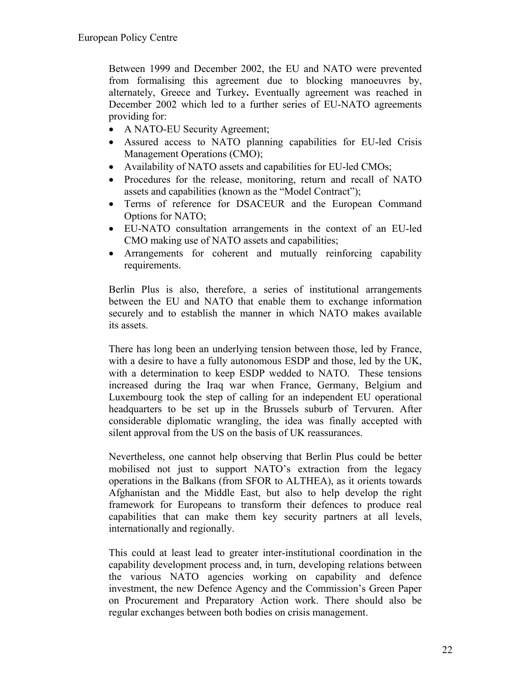Between 1999 and December 2002, the EU and NATO were prevented from formalising this agreement due to blocking manoeuvres by, alternately, Greece and Turkey**.** Eventually agreement was reached in December 2002 which led to a further series of EU-NATO agreements providing for:

- A NATO-EU Security Agreement;
- Assured access to NATO planning capabilities for EU-led Crisis Management Operations (CMO);
- Availability of NATO assets and capabilities for EU-led CMOs;
- Procedures for the release, monitoring, return and recall of NATO assets and capabilities (known as the "Model Contract");
- Terms of reference for DSACEUR and the European Command Options for NATO;
- EU-NATO consultation arrangements in the context of an EU-led CMO making use of NATO assets and capabilities;
- Arrangements for coherent and mutually reinforcing capability requirements.

Berlin Plus is also, therefore, a series of institutional arrangements between the EU and NATO that enable them to exchange information securely and to establish the manner in which NATO makes available its assets.

There has long been an underlying tension between those, led by France, with a desire to have a fully autonomous ESDP and those, led by the UK, with a determination to keep ESDP wedded to NATO. These tensions increased during the Iraq war when France, Germany, Belgium and Luxembourg took the step of calling for an independent EU operational headquarters to be set up in the Brussels suburb of Tervuren. After considerable diplomatic wrangling, the idea was finally accepted with silent approval from the US on the basis of UK reassurances.

Nevertheless, one cannot help observing that Berlin Plus could be better mobilised not just to support NATO's extraction from the legacy operations in the Balkans (from SFOR to ALTHEA), as it orients towards Afghanistan and the Middle East, but also to help develop the right framework for Europeans to transform their defences to produce real capabilities that can make them key security partners at all levels, internationally and regionally.

This could at least lead to greater inter-institutional coordination in the capability development process and, in turn, developing relations between the various NATO agencies working on capability and defence investment, the new Defence Agency and the Commission's Green Paper on Procurement and Preparatory Action work. There should also be regular exchanges between both bodies on crisis management.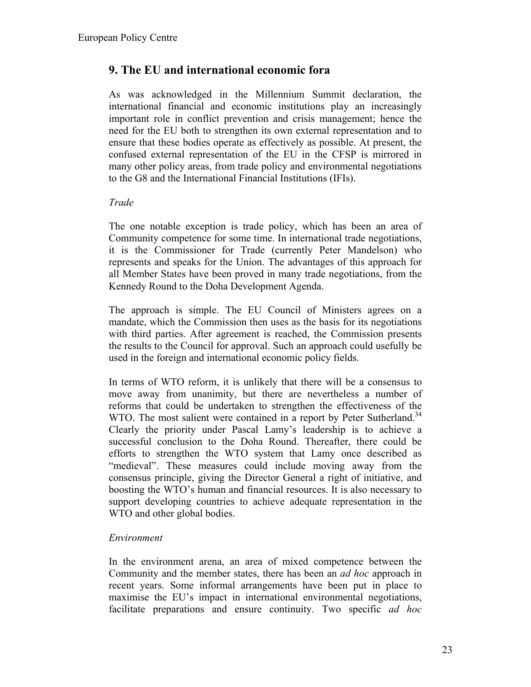### **9. The EU and international economic fora**

As was acknowledged in the Millennium Summit declaration, the international financial and economic institutions play an increasingly important role in conflict prevention and crisis management; hence the need for the EU both to strengthen its own external representation and to ensure that these bodies operate as effectively as possible. At present, the confused external representation of the EU in the CFSP is mirrored in many other policy areas, from trade policy and environmental negotiations to the G8 and the International Financial Institutions (IFIs).

### *Trade*

The one notable exception is trade policy, which has been an area of Community competence for some time. In international trade negotiations, it is the Commissioner for Trade (currently Peter Mandelson) who represents and speaks for the Union. The advantages of this approach for all Member States have been proved in many trade negotiations, from the Kennedy Round to the Doha Development Agenda.

The approach is simple. The EU Council of Ministers agrees on a mandate, which the Commission then uses as the basis for its negotiations with third parties. After agreement is reached, the Commission presents the results to the Council for approval. Such an approach could usefully be used in the foreign and international economic policy fields.

In terms of WTO reform, it is unlikely that there will be a consensus to move away from unanimity, but there are nevertheless a number of reforms that could be undertaken to strengthen the effectiveness of the WTO. The most salient were contained in a report by Peter Sutherland.<sup>34</sup> Clearly the priority under Pascal Lamy's leadership is to achieve a successful conclusion to the Doha Round. Thereafter, there could be efforts to strengthen the WTO system that Lamy once described as "medieval". These measures could include moving away from the consensus principle, giving the Director General a right of initiative, and boosting the WTO's human and financial resources. It is also necessary to support developing countries to achieve adequate representation in the WTO and other global bodies.

### *Environment*

In the environment arena, an area of mixed competence between the Community and the member states, there has been an *ad hoc* approach in recent years. Some informal arrangements have been put in place to maximise the EU's impact in international environmental negotiations, facilitate preparations and ensure continuity. Two specific *ad hoc*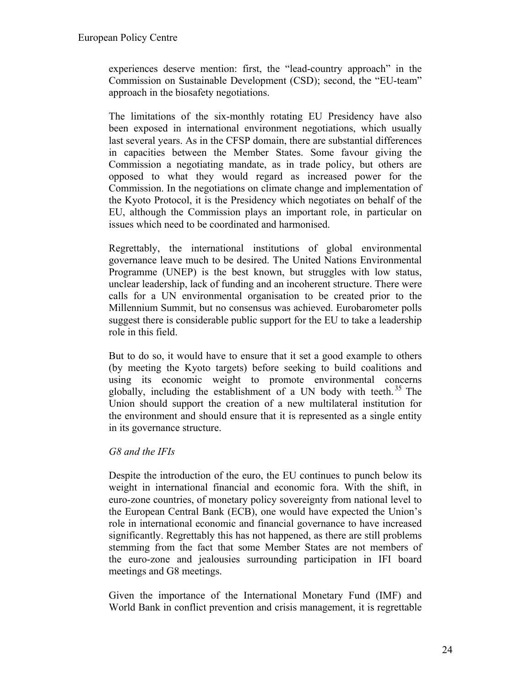experiences deserve mention: first, the "lead-country approach" in the Commission on Sustainable Development (CSD); second, the "EU-team" approach in the biosafety negotiations.

The limitations of the six-monthly rotating EU Presidency have also been exposed in international environment negotiations, which usually last several years. As in the CFSP domain, there are substantial differences in capacities between the Member States. Some favour giving the Commission a negotiating mandate, as in trade policy, but others are opposed to what they would regard as increased power for the Commission. In the negotiations on climate change and implementation of the Kyoto Protocol, it is the Presidency which negotiates on behalf of the EU, although the Commission plays an important role, in particular on issues which need to be coordinated and harmonised.

Regrettably, the international institutions of global environmental governance leave much to be desired. The United Nations Environmental Programme (UNEP) is the best known, but struggles with low status, unclear leadership, lack of funding and an incoherent structure. There were calls for a UN environmental organisation to be created prior to the Millennium Summit, but no consensus was achieved. Eurobarometer polls suggest there is considerable public support for the EU to take a leadership role in this field.

But to do so, it would have to ensure that it set a good example to others (by meeting the Kyoto targets) before seeking to build coalitions and using its economic weight to promote environmental concerns globally, including the establishment of a UN body with teeth. [35 T](#page-30-30)he Union should support the creation of a new multilateral institution for the environment and should ensure that it is represented as a single entity in its governance structure.

### *G8 and the IFIs*

Despite the introduction of the euro, the EU continues to punch below its weight in international financial and economic fora. With the shift, in euro-zone countries, of monetary policy sovereignty from national level to the European Central Bank (ECB), one would have expected the Union's role in international economic and financial governance to have increased significantly. Regrettably this has not happened, as there are still problems stemming from the fact that some Member States are not members of the euro-zone and jealousies surrounding participation in IFI board meetings and G8 meetings.

Given the importance of the International Monetary Fund (IMF) and World Bank in conflict prevention and crisis management, it is regrettable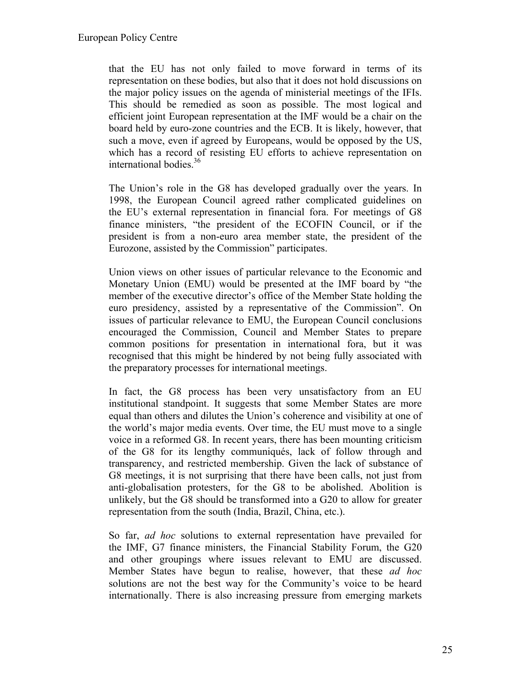that the EU has not only failed to move forward in terms of its representation on these bodies, but also that it does not hold discussions on the major policy issues on the agenda of ministerial meetings of the IFIs. This should be remedied as soon as possible. The most logical and efficient joint European representation at the IMF would be a chair on the board held by euro-zone countries and the ECB. It is likely, however, that such a move, even if agreed by Europeans, would be opposed by the US, which has a record of resisting EU efforts to achieve representation on international bodies.<sup>36</sup>

The Union's role in the G8 has developed gradually over the years. In 1998, the European Council agreed rather complicated guidelines on the EU's external representation in financial fora. For meetings of G8 finance ministers, "the president of the ECOFIN Council, or if the president is from a non-euro area member state, the president of the Eurozone, assisted by the Commission" participates.

Union views on other issues of particular relevance to the Economic and Monetary Union (EMU) would be presented at the IMF board by "the member of the executive director's office of the Member State holding the euro presidency, assisted by a representative of the Commission". On issues of particular relevance to EMU, the European Council conclusions encouraged the Commission, Council and Member States to prepare common positions for presentation in international fora, but it was recognised that this might be hindered by not being fully associated with the preparatory processes for international meetings.

In fact, the G8 process has been very unsatisfactory from an EU institutional standpoint. It suggests that some Member States are more equal than others and dilutes the Union's coherence and visibility at one of the world's major media events. Over time, the EU must move to a single voice in a reformed G8. In recent years, there has been mounting criticism of the G8 for its lengthy communiqués, lack of follow through and transparency, and restricted membership. Given the lack of substance of G8 meetings, it is not surprising that there have been calls, not just from anti-globalisation protesters, for the G8 to be abolished. Abolition is unlikely, but the G8 should be transformed into a G20 to allow for greater representation from the south (India, Brazil, China, etc.).

So far, *ad hoc* solutions to external representation have prevailed for the IMF, G7 finance ministers, the Financial Stability Forum, the G20 and other groupings where issues relevant to EMU are discussed. Member States have begun to realise, however, that these *ad hoc*  solutions are not the best way for the Community's voice to be heard internationally. There is also increasing pressure from emerging markets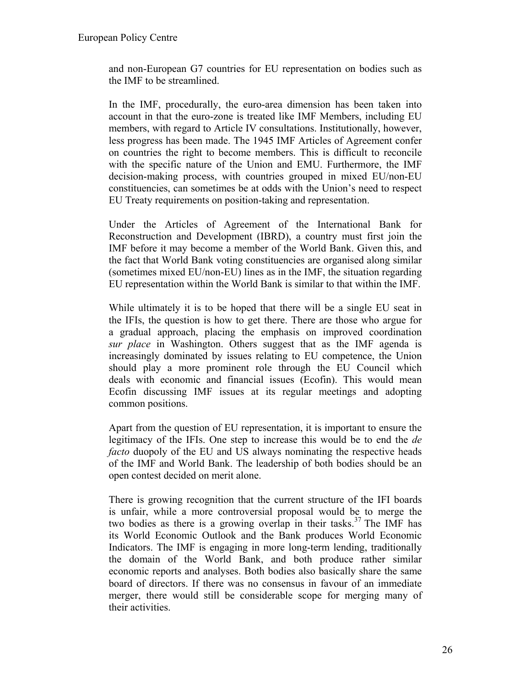and non-European G7 countries for EU representation on bodies such as the IMF to be streamlined.

In the IMF, procedurally, the euro-area dimension has been taken into account in that the euro-zone is treated like IMF Members, including EU members, with regard to Article IV consultations. Institutionally, however, less progress has been made. The 1945 IMF Articles of Agreement confer on countries the right to become members. This is difficult to reconcile with the specific nature of the Union and EMU. Furthermore, the IMF decision-making process, with countries grouped in mixed EU/non-EU constituencies, can sometimes be at odds with the Union's need to respect EU Treaty requirements on position-taking and representation.

Under the Articles of Agreement of the International Bank for Reconstruction and Development (IBRD), a country must first join the IMF before it may become a member of the World Bank. Given this, and the fact that World Bank voting constituencies are organised along similar (sometimes mixed EU/non-EU) lines as in the IMF, the situation regarding EU representation within the World Bank is similar to that within the IMF.

While ultimately it is to be hoped that there will be a single EU seat in the IFIs, the question is how to get there. There are those who argue for a gradual approach, placing the emphasis on improved coordination *sur place* in Washington. Others suggest that as the IMF agenda is increasingly dominated by issues relating to EU competence, the Union should play a more prominent role through the EU Council which deals with economic and financial issues (Ecofin). This would mean Ecofin discussing IMF issues at its regular meetings and adopting common positions.

Apart from the question of EU representation, it is important to ensure the legitimacy of the IFIs. One step to increase this would be to end the *de facto* duopoly of the EU and US always nominating the respective heads of the IMF and World Bank. The leadership of both bodies should be an open contest decided on merit alone.

There is growing recognition that the current structure of the IFI boards is unfair, while a more controversial proposal would be to merge the two bodies as there is a growing overlap in their tasks.<sup>[37](#page-30-31)</sup> The IMF has its World Economic Outlook and the Bank produces World Economic Indicators. The IMF is engaging in more long-term lending, traditionally the domain of the World Bank, and both produce rather similar economic reports and analyses. Both bodies also basically share the same board of directors. If there was no consensus in favour of an immediate merger, there would still be considerable scope for merging many of their activities.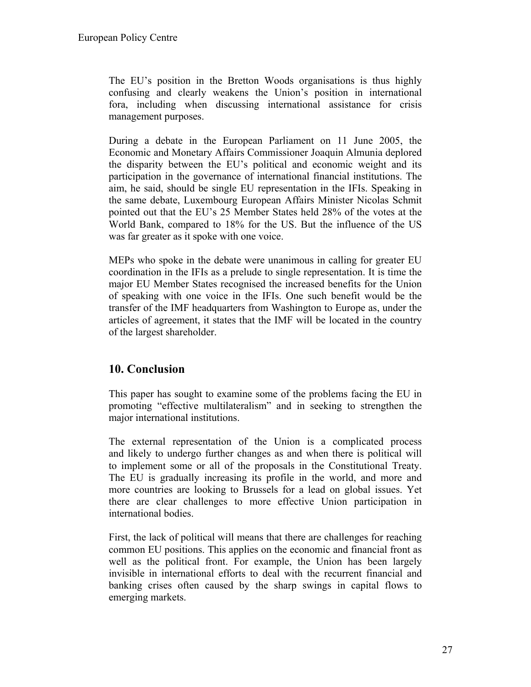The EU's position in the Bretton Woods organisations is thus highly confusing and clearly weakens the Union's position in international fora, including when discussing international assistance for crisis management purposes.

During a debate in the European Parliament on 11 June 2005, the Economic and Monetary Affairs Commissioner Joaquin Almunia deplored the disparity between the EU's political and economic weight and its participation in the governance of international financial institutions. The aim, he said, should be single EU representation in the IFIs. Speaking in the same debate, Luxembourg European Affairs Minister Nicolas Schmit pointed out that the EU's 25 Member States held 28% of the votes at the World Bank, compared to 18% for the US. But the influence of the US was far greater as it spoke with one voice.

MEPs who spoke in the debate were unanimous in calling for greater EU coordination in the IFIs as a prelude to single representation. It is time the major EU Member States recognised the increased benefits for the Union of speaking with one voice in the IFIs. One such benefit would be the transfer of the IMF headquarters from Washington to Europe as, under the articles of agreement, it states that the IMF will be located in the country of the largest shareholder.

### **10. Conclusion**

This paper has sought to examine some of the problems facing the EU in promoting "effective multilateralism" and in seeking to strengthen the major international institutions.

The external representation of the Union is a complicated process and likely to undergo further changes as and when there is political will to implement some or all of the proposals in the Constitutional Treaty. The EU is gradually increasing its profile in the world, and more and more countries are looking to Brussels for a lead on global issues. Yet there are clear challenges to more effective Union participation in international bodies.

First, the lack of political will means that there are challenges for reaching common EU positions. This applies on the economic and financial front as well as the political front. For example, the Union has been largely invisible in international efforts to deal with the recurrent financial and banking crises often caused by the sharp swings in capital flows to emerging markets.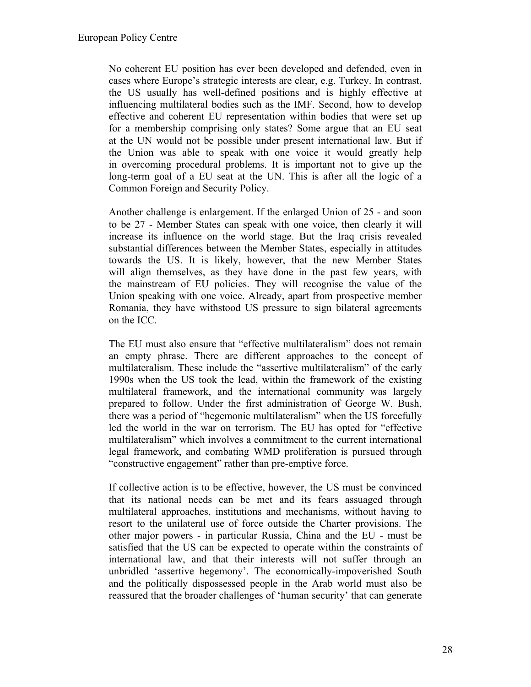No coherent EU position has ever been developed and defended, even in cases where Europe's strategic interests are clear, e.g. Turkey. In contrast, the US usually has well-defined positions and is highly effective at influencing multilateral bodies such as the IMF. Second, how to develop effective and coherent EU representation within bodies that were set up for a membership comprising only states? Some argue that an EU seat at the UN would not be possible under present international law. But if the Union was able to speak with one voice it would greatly help in overcoming procedural problems. It is important not to give up the long-term goal of a EU seat at the UN. This is after all the logic of a Common Foreign and Security Policy.

Another challenge is enlargement. If the enlarged Union of 25 - and soon to be 27 - Member States can speak with one voice, then clearly it will increase its influence on the world stage. But the Iraq crisis revealed substantial differences between the Member States, especially in attitudes towards the US. It is likely, however, that the new Member States will align themselves, as they have done in the past few years, with the mainstream of EU policies. They will recognise the value of the Union speaking with one voice. Already, apart from prospective member Romania, they have withstood US pressure to sign bilateral agreements on the ICC.

The EU must also ensure that "effective multilateralism" does not remain an empty phrase. There are different approaches to the concept of multilateralism. These include the "assertive multilateralism" of the early 1990s when the US took the lead, within the framework of the existing multilateral framework, and the international community was largely prepared to follow. Under the first administration of George W. Bush, there was a period of "hegemonic multilateralism" when the US forcefully led the world in the war on terrorism. The EU has opted for "effective multilateralism" which involves a commitment to the current international legal framework, and combating WMD proliferation is pursued through "constructive engagement" rather than pre-emptive force.

If collective action is to be effective, however, the US must be convinced that its national needs can be met and its fears assuaged through multilateral approaches, institutions and mechanisms, without having to resort to the unilateral use of force outside the Charter provisions. The other major powers - in particular Russia, China and the EU - must be satisfied that the US can be expected to operate within the constraints of international law, and that their interests will not suffer through an unbridled 'assertive hegemony'. The economically-impoverished South and the politically dispossessed people in the Arab world must also be reassured that the broader challenges of 'human security' that can generate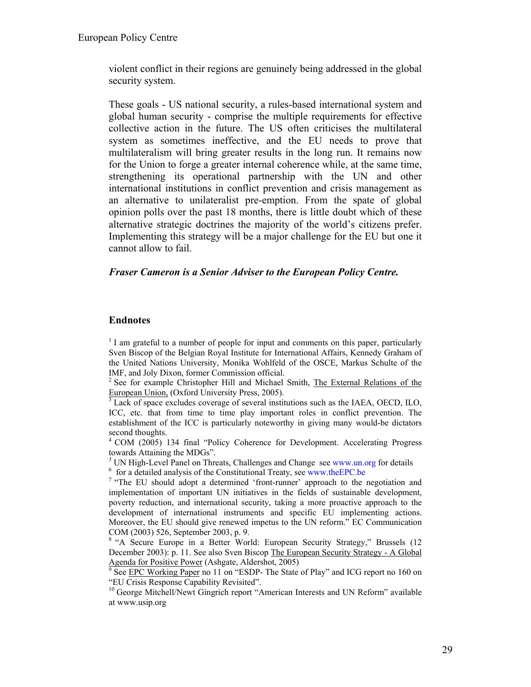violent conflict in their regions are genuinely being addressed in the global security system.

These goals - US national security, a rules-based international system and global human security - comprise the multiple requirements for effective collective action in the future. The US often criticises the multilateral system as sometimes ineffective, and the EU needs to prove that multilateralism will bring greater results in the long run. It remains now for the Union to forge a greater internal coherence while, at the same time, strengthening its operational partnership with the UN and other international institutions in conflict prevention and crisis management as an alternative to unilateralist pre-emption. From the spate of global opinion polls over the past 18 months, there is little doubt which of these alternative strategic doctrines the majority of the world's citizens prefer. Implementing this strategy will be a major challenge for the EU but one it cannot allow to fail.

#### *Fraser Cameron is a Senior Adviser to the European Policy Centre.*

#### **Endnotes**

<sup>1</sup> I am grateful to a number of people for input and comments on this paper, particularly Sven Biscop of the Belgian Royal Institute for International Affairs, Kennedy Graham of the United Nations University, Monika Wohlfeld of the OSCE, Markus Schulte of the

IMF, and Joly Dixon, former Commission official.<br><sup>2</sup> See for example Christopher Hill and Michael Smith, <u>The External Relations of the</u> European Union, (Oxford University Press, 2005).

Lack of space excludes coverage of several institutions such as the IAEA, OECD, ILO, ICC, etc. that from time to time play important roles in conflict prevention. The establishment of the ICC is particularly noteworthy in giving many would-be dictators second thoughts.<br><sup>4</sup> COM (2005) 134 final "Policy Coherence for Development. Accelerating Progress

towards Attaining the MDGs".<br><sup>5</sup> UN High-Level Panel on Threats, Challenges and Change see [www.un.org](http://www.un.org/) for details <sup>6</sup> for a detailed analysis of the Constitutional Treaty, see www.theEPC.be

 $\frac{7}{1}$  "The EU should adopt a determined 'front-runner' approach to the negotiation and implementation of important UN initiatives in the fields of sustainable development, poverty reduction, and international security, taking a more proactive approach to the development of international instruments and specific EU implementing actions. Moreover, the EU should give renewed impetus to the UN reform." EC Communication COM (2003) 526, September 2003, p. 9.<br><sup>8</sup> "A Secure Europe in a Better World: European Security Strategy," Brussels (12

December 2003): p. 11. See also Sven Biscop The European Security Strategy - A Global Agenda for Positive Power (Ashgate, Aldershot, 2005)<br>
<sup>9</sup> See <u>EPC Working Paper</u> no 11 on "ESDP- The State of Play" and ICG report no 160 on

"EU Crisis Response Capability Revisited". <sup>10</sup> George Mitchell/Newt Gingrich report "American Interests and UN Reform" available

at www.usip.org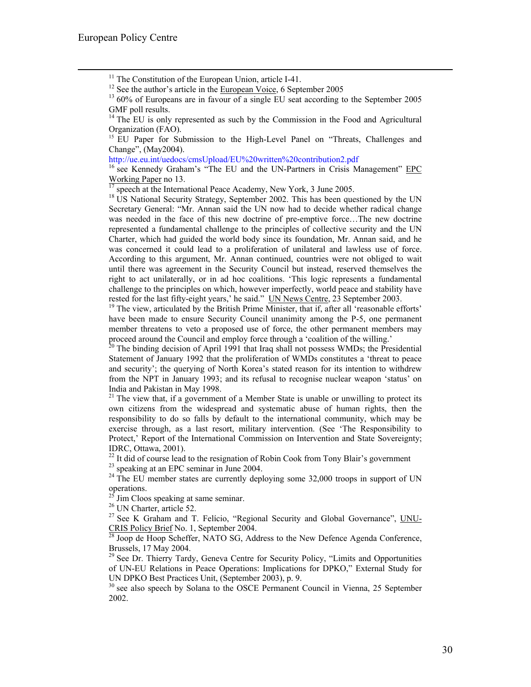<sup>11</sup> The Constitution of the European Union, article I-41.<br><sup>12</sup> See the author's article in the <u>European Voice</u>, 6 September 2005<br><sup>13</sup> 60% of Europeans are in favour of a single EU seat according to the September 2005 GMF poll results.<br><sup>14</sup> The EU is only represented as such by the Commission in the Food and Agricultural

Change", (May2004).<br>http://ue.eu.int/uedocs/cmsUpload/EU%20written%20contribution2.pdf

<sup>[16](http://ue.eu.int/uedocs/cmsUpload/EU written contribution2.pdf)</sup> see Kennedy Graham's "The EU and the UN-Partners in Crisis Management" <u>EPC</u><br>Working Paper no 13.<br><sup>17</sup> speech at the International Passe Associated Management 2005.

 $^{17}$  speech at the International Peace Academy, New York, 3 June 2005.<br><sup>18</sup> US National Security Strategy, September 2002. This has been questioned by the UN Secretary General: "Mr. Annan said the UN now had to decide whether radical change was needed in the face of this new doctrine of pre-emptive force…The new doctrine represented a fundamental challenge to the principles of collective security and the UN Charter, which had guided the world body since its foundation, Mr. Annan said, and he was concerned it could lead to a proliferation of unilateral and lawless use of force. According to this argument, Mr. Annan continued, countries were not obliged to wait until there was agreement in the Security Council but instead, reserved themselves the right to act unilaterally, or in ad hoc coalitions. 'This logic represents a fundamental challenge to the principles on which, however imperfectly, world peace and stability have

rested for the last fifty-eight years,' he said." <u>UN News Centre</u>, 23 September 2003.<br><sup>19</sup> The view, articulated by the British Prime Minister, that if, after all 'reasonable efforts' have been made to ensure Security Council unanimity among the P-5, one permanent member threatens to veto a proposed use of force, the other permanent members may proceed around the Council and employ force through a 'coalition of the willing.'

<sup>20</sup> The binding decision of April 1991 that Iraq shall not possess WMDs; the Presidential Statement of January 1992 that the proliferation of WMDs constitutes a 'threat to peace and security'; the querying of North Korea's stated reason for its intention to withdrew from the NPT in January 1993; and its refusal to recognise nuclear weapon 'status' on India and Pakistan in May 1998.<br><sup>21</sup> The view that, if a government of a Member State is unable or unwilling to protect its

own citizens from the widespread and systematic abuse of human rights, then the responsibility to do so falls by default to the international community, which may be exercise through, as a last resort, military intervention. (See 'The Responsibility to Protect,' Report of the International Commission on Intervention and State Sovereignty;

IDRC, Ottawa, 2001).<br><sup>22</sup> It did of course lead to the resignation of Robin Cook from Tony Blair's government<br><sup>23</sup> speaking at an EPC seminar in June 2004.<br><sup>24</sup> The EU member states are currently deploying some 32,000 tro

<sup>25</sup> Jim Cloos speaking at same seminar.<br><sup>26</sup> UN Charter, article 52. <sup>27</sup> See K Graham and T. Felício, "Regional Security and Global Governance", <u>UNU-</u>

CRIS Policy Brief No. 1, September 2004.<br><sup>28</sup> Joop de Hoop Scheffer, NATO SG, Address to the New Defence Agenda Conference, Brussels, 17 May 2004.

<sup>29</sup> See Dr. Thierry Tardy, Geneva Centre for Security Policy, "Limits and Opportunities of UN-EU Relations in Peace Operations: Implications for DPKO," External Study for UN DPKO Best Practices Unit, (September 2003), p. 9.<br><sup>30</sup> see also speech by Solana to the OSCE Permanent Council in Vienna, 25 September

2002.

Organization (FAO).<br><sup>15</sup> EU Paper for Submission to the High-Level Panel on "Threats, Challenges and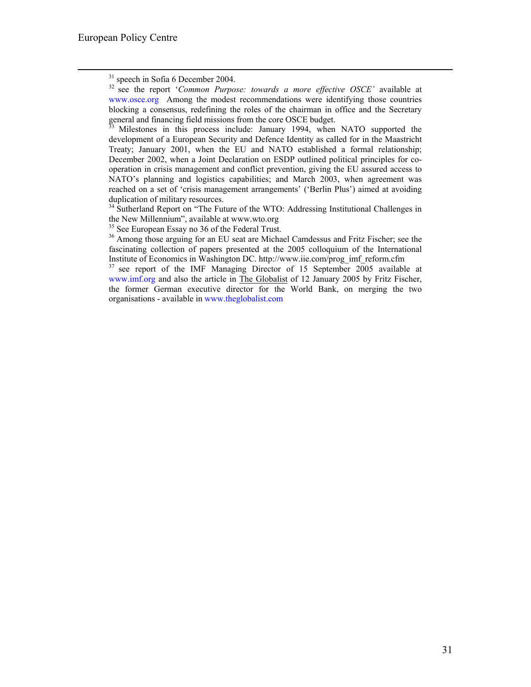<span id="page-30-7"></span><span id="page-30-4"></span><span id="page-30-1"></span>development of a European Security and Defence Identity as called for in the Maastricht Treaty; January 2001, when the EU and NATO established a formal relationship; December 2002, when a Joint Declaration on ESDP outlined political principles for cooperation in crisis management and conflict prevention, giving the EU assured access to NATO's planning and logistics capabilities; and March 2003, when agreement was reached on a set of 'crisis management arrangements' ('Berlin Plus') aimed at avoiding

<span id="page-30-28"></span><span id="page-30-22"></span><span id="page-30-15"></span> $34$  Sutherland Report on "The Future of the WTO: Addressing Institutional Challenges in the New Millennium", available at www.wto.org

<span id="page-30-10"></span><span id="page-30-8"></span><sup>35</sup> See European Essay no 36 of the Federal Trust.<br><sup>36</sup> Among those arguing for an EU seat are Michael Camdessus and Fritz Fischer; see the fascinating collection of papers presented at the 2005 colloquium of the International Institute of Economics in Washington DC. [http://www.iie.com/prog\\_imf\\_reform.cfm](http://www.iie.com/prog_imf_reform.cfm) <sup>37</sup> see report of the IMF Managing Director of 15 September 2005 available at

<span id="page-30-31"></span><span id="page-30-30"></span><span id="page-30-29"></span><span id="page-30-27"></span><span id="page-30-25"></span><span id="page-30-24"></span><span id="page-30-23"></span><span id="page-30-21"></span><span id="page-30-20"></span><span id="page-30-19"></span><span id="page-30-18"></span><span id="page-30-17"></span><span id="page-30-16"></span><span id="page-30-14"></span><span id="page-30-13"></span><span id="page-30-12"></span><span id="page-30-11"></span><span id="page-30-9"></span><span id="page-30-6"></span><span id="page-30-5"></span><span id="page-30-2"></span><span id="page-30-0"></span>[www.imf.org](http://www.imf.org/) and also the article in The Globalist of 12 January 2005 by Fritz Fischer, the former German executive director for the World Bank, on merging the two organisations - available in [www.theglobalist.com](http://www.theglobalist.com/)

<span id="page-30-26"></span><span id="page-30-3"></span><sup>&</sup>lt;sup>31</sup> speech in Sofia 6 December 2004.<br><sup>32</sup> see the report *'Common Purpose: towards a more effective OSCE'* available at [www.osce.org](http://www.osce.org/) Among the modest recommendations were identifying those countries blocking a consensus, redefining the roles of the chairman in office and the Secretary general and financing field missions from the core OSCE budget.<br><sup>33</sup> Milestones in this process include: January 1994, when NATO supported the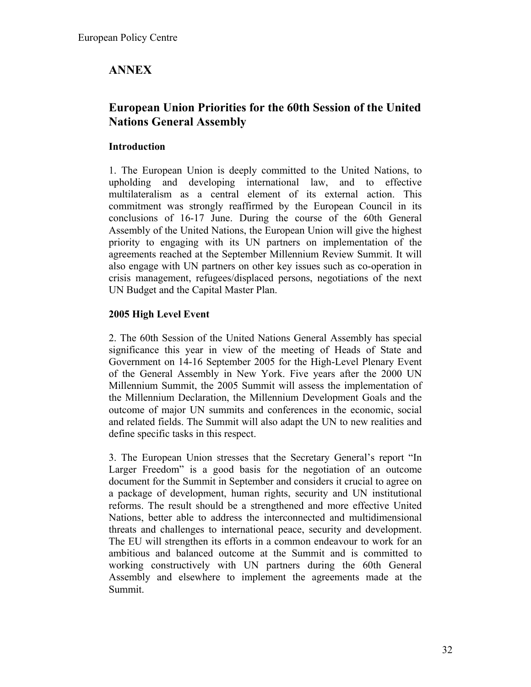## **ANNEX**

### **European Union Priorities for the 60th Session of the United Nations General Assembly**

### **Introduction**

1. The European Union is deeply committed to the United Nations, to upholding and developing international law, and to effective multilateralism as a central element of its external action. This commitment was strongly reaffirmed by the European Council in its conclusions of 16-17 June. During the course of the 60th General Assembly of the United Nations, the European Union will give the highest priority to engaging with its UN partners on implementation of the agreements reached at the September Millennium Review Summit. It will also engage with UN partners on other key issues such as co-operation in crisis management, refugees/displaced persons, negotiations of the next UN Budget and the Capital Master Plan.

### **2005 High Level Event**

2. The 60th Session of the United Nations General Assembly has special significance this year in view of the meeting of Heads of State and Government on 14-16 September 2005 for the High-Level Plenary Event of the General Assembly in New York. Five years after the 2000 UN Millennium Summit, the 2005 Summit will assess the implementation of the Millennium Declaration, the Millennium Development Goals and the outcome of major UN summits and conferences in the economic, social and related fields. The Summit will also adapt the UN to new realities and define specific tasks in this respect.

3. The European Union stresses that the Secretary General's report "In Larger Freedom" is a good basis for the negotiation of an outcome document for the Summit in September and considers it crucial to agree on a package of development, human rights, security and UN institutional reforms. The result should be a strengthened and more effective United Nations, better able to address the interconnected and multidimensional threats and challenges to international peace, security and development. The EU will strengthen its efforts in a common endeavour to work for an ambitious and balanced outcome at the Summit and is committed to working constructively with UN partners during the 60th General Assembly and elsewhere to implement the agreements made at the Summit.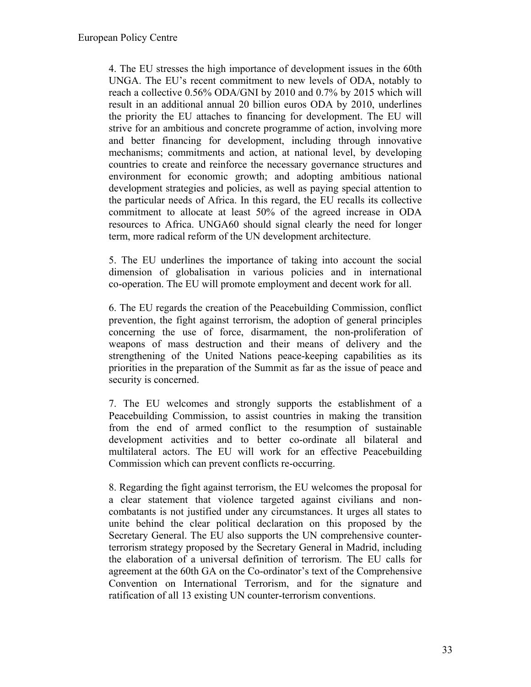4. The EU stresses the high importance of development issues in the 60th UNGA. The EU's recent commitment to new levels of ODA, notably to reach a collective 0.56% ODA/GNI by 2010 and 0.7% by 2015 which will result in an additional annual 20 billion euros ODA by 2010, underlines the priority the EU attaches to financing for development. The EU will strive for an ambitious and concrete programme of action, involving more and better financing for development, including through innovative mechanisms; commitments and action, at national level, by developing countries to create and reinforce the necessary governance structures and environment for economic growth; and adopting ambitious national development strategies and policies, as well as paying special attention to the particular needs of Africa. In this regard, the EU recalls its collective commitment to allocate at least 50% of the agreed increase in ODA resources to Africa. UNGA60 should signal clearly the need for longer term, more radical reform of the UN development architecture.

5. The EU underlines the importance of taking into account the social dimension of globalisation in various policies and in international co-operation. The EU will promote employment and decent work for all.

6. The EU regards the creation of the Peacebuilding Commission, conflict prevention, the fight against terrorism, the adoption of general principles concerning the use of force, disarmament, the non-proliferation of weapons of mass destruction and their means of delivery and the strengthening of the United Nations peace-keeping capabilities as its priorities in the preparation of the Summit as far as the issue of peace and security is concerned.

7. The EU welcomes and strongly supports the establishment of a Peacebuilding Commission, to assist countries in making the transition from the end of armed conflict to the resumption of sustainable development activities and to better co-ordinate all bilateral and multilateral actors. The EU will work for an effective Peacebuilding Commission which can prevent conflicts re-occurring.

8. Regarding the fight against terrorism, the EU welcomes the proposal for a clear statement that violence targeted against civilians and noncombatants is not justified under any circumstances. It urges all states to unite behind the clear political declaration on this proposed by the Secretary General. The EU also supports the UN comprehensive counterterrorism strategy proposed by the Secretary General in Madrid, including the elaboration of a universal definition of terrorism. The EU calls for agreement at the 60th GA on the Co-ordinator's text of the Comprehensive Convention on International Terrorism, and for the signature and ratification of all 13 existing UN counter-terrorism conventions.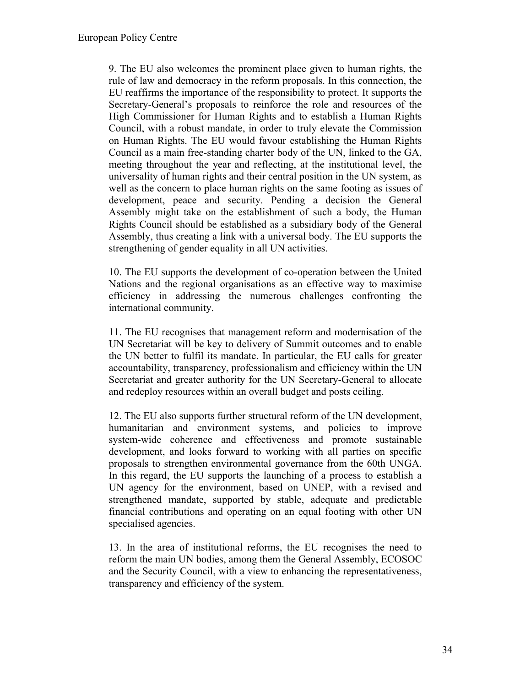9. The EU also welcomes the prominent place given to human rights, the rule of law and democracy in the reform proposals. In this connection, the EU reaffirms the importance of the responsibility to protect. It supports the Secretary-General's proposals to reinforce the role and resources of the High Commissioner for Human Rights and to establish a Human Rights Council, with a robust mandate, in order to truly elevate the Commission on Human Rights. The EU would favour establishing the Human Rights Council as a main free-standing charter body of the UN, linked to the GA, meeting throughout the year and reflecting, at the institutional level, the universality of human rights and their central position in the UN system, as well as the concern to place human rights on the same footing as issues of development, peace and security. Pending a decision the General Assembly might take on the establishment of such a body, the Human Rights Council should be established as a subsidiary body of the General Assembly, thus creating a link with a universal body. The EU supports the strengthening of gender equality in all UN activities.

10. The EU supports the development of co-operation between the United Nations and the regional organisations as an effective way to maximise efficiency in addressing the numerous challenges confronting the international community.

11. The EU recognises that management reform and modernisation of the UN Secretariat will be key to delivery of Summit outcomes and to enable the UN better to fulfil its mandate. In particular, the EU calls for greater accountability, transparency, professionalism and efficiency within the UN Secretariat and greater authority for the UN Secretary-General to allocate and redeploy resources within an overall budget and posts ceiling.

12. The EU also supports further structural reform of the UN development, humanitarian and environment systems, and policies to improve system-wide coherence and effectiveness and promote sustainable development, and looks forward to working with all parties on specific proposals to strengthen environmental governance from the 60th UNGA. In this regard, the EU supports the launching of a process to establish a UN agency for the environment, based on UNEP, with a revised and strengthened mandate, supported by stable, adequate and predictable financial contributions and operating on an equal footing with other UN specialised agencies.

13. In the area of institutional reforms, the EU recognises the need to reform the main UN bodies, among them the General Assembly, ECOSOC and the Security Council, with a view to enhancing the representativeness, transparency and efficiency of the system.